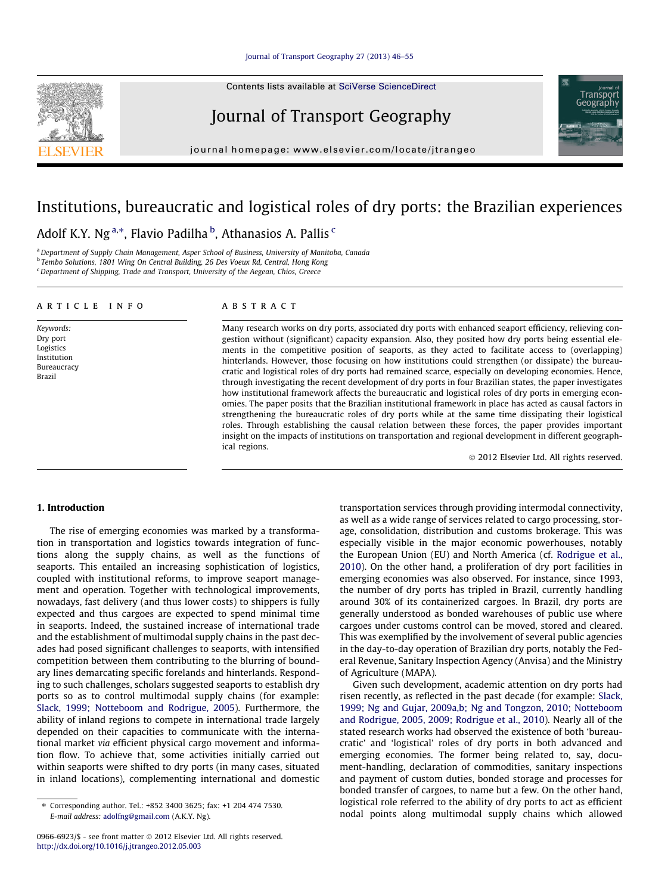Contents lists available at [SciVerse ScienceDirect](http://www.sciencedirect.com/science/journal/09666923)

# Journal of Transport Geography

journal homepage: [www.elsevier.com/locate/jtrangeo](http://www.elsevier.com/locate/jtrangeo)

## Institutions, bureaucratic and logistical roles of dry ports: the Brazilian experiences

### Adolf K.Y. Ng <sup>a,</sup>\*, Flavio Padilha <sup>b</sup>, Athanasios A. Pallis <sup>c</sup>

a Department of Supply Chain Management, Asper School of Business, University of Manitoba, Canada <sup>b</sup> Tembo Solutions, 1801 Wing On Central Building, 26 Des Voeux Rd, Central, Hong Kong <sup>c</sup> Department of Shipping, Trade and Transport, University of the Aegean, Chios, Greece

#### article info

Keywords: Dry port Logistics Institution Bureaucracy Brazil

#### **ABSTRACT**

Many research works on dry ports, associated dry ports with enhanced seaport efficiency, relieving congestion without (significant) capacity expansion. Also, they posited how dry ports being essential elements in the competitive position of seaports, as they acted to facilitate access to (overlapping) hinterlands. However, those focusing on how institutions could strengthen (or dissipate) the bureaucratic and logistical roles of dry ports had remained scarce, especially on developing economies. Hence, through investigating the recent development of dry ports in four Brazilian states, the paper investigates how institutional framework affects the bureaucratic and logistical roles of dry ports in emerging economies. The paper posits that the Brazilian institutional framework in place has acted as causal factors in strengthening the bureaucratic roles of dry ports while at the same time dissipating their logistical roles. Through establishing the causal relation between these forces, the paper provides important insight on the impacts of institutions on transportation and regional development in different geographical regions.

- 2012 Elsevier Ltd. All rights reserved.

#### 1. Introduction

The rise of emerging economies was marked by a transformation in transportation and logistics towards integration of functions along the supply chains, as well as the functions of seaports. This entailed an increasing sophistication of logistics, coupled with institutional reforms, to improve seaport management and operation. Together with technological improvements, nowadays, fast delivery (and thus lower costs) to shippers is fully expected and thus cargoes are expected to spend minimal time in seaports. Indeed, the sustained increase of international trade and the establishment of multimodal supply chains in the past decades had posed significant challenges to seaports, with intensified competition between them contributing to the blurring of boundary lines demarcating specific forelands and hinterlands. Responding to such challenges, scholars suggested seaports to establish dry ports so as to control multimodal supply chains (for example: [Slack, 1999; Notteboom and Rodrigue, 2005](#page--1-0)). Furthermore, the ability of inland regions to compete in international trade largely depended on their capacities to communicate with the international market via efficient physical cargo movement and information flow. To achieve that, some activities initially carried out within seaports were shifted to dry ports (in many cases, situated in inland locations), complementing international and domestic transportation services through providing intermodal connectivity, as well as a wide range of services related to cargo processing, storage, consolidation, distribution and customs brokerage. This was especially visible in the major economic powerhouses, notably the European Union (EU) and North America (cf. [Rodrigue et al.,](#page--1-0) [2010\)](#page--1-0). On the other hand, a proliferation of dry port facilities in emerging economies was also observed. For instance, since 1993, the number of dry ports has tripled in Brazil, currently handling around 30% of its containerized cargoes. In Brazil, dry ports are generally understood as bonded warehouses of public use where cargoes under customs control can be moved, stored and cleared. This was exemplified by the involvement of several public agencies in the day-to-day operation of Brazilian dry ports, notably the Federal Revenue, Sanitary Inspection Agency (Anvisa) and the Ministry of Agriculture (MAPA).

Given such development, academic attention on dry ports had risen recently, as reflected in the past decade (for example: [Slack,](#page--1-0) [1999; Ng and Gujar, 2009a,b; Ng and Tongzon, 2010; Notteboom](#page--1-0) [and Rodrigue, 2005, 2009; Rodrigue et al., 2010](#page--1-0)). Nearly all of the stated research works had observed the existence of both 'bureaucratic' and 'logistical' roles of dry ports in both advanced and emerging economies. The former being related to, say, document-handling, declaration of commodities, sanitary inspections and payment of custom duties, bonded storage and processes for bonded transfer of cargoes, to name but a few. On the other hand, logistical role referred to the ability of dry ports to act as efficient nodal points along multimodal supply chains which allowed





<sup>⇑</sup> Corresponding author. Tel.: +852 3400 3625; fax: +1 204 474 7530. E-mail address: [adolfng@gmail.com](mailto:adolfng@gmail.com) (A.K.Y. Ng).

<sup>0966-6923/\$ -</sup> see front matter © 2012 Elsevier Ltd. All rights reserved. <http://dx.doi.org/10.1016/j.jtrangeo.2012.05.003>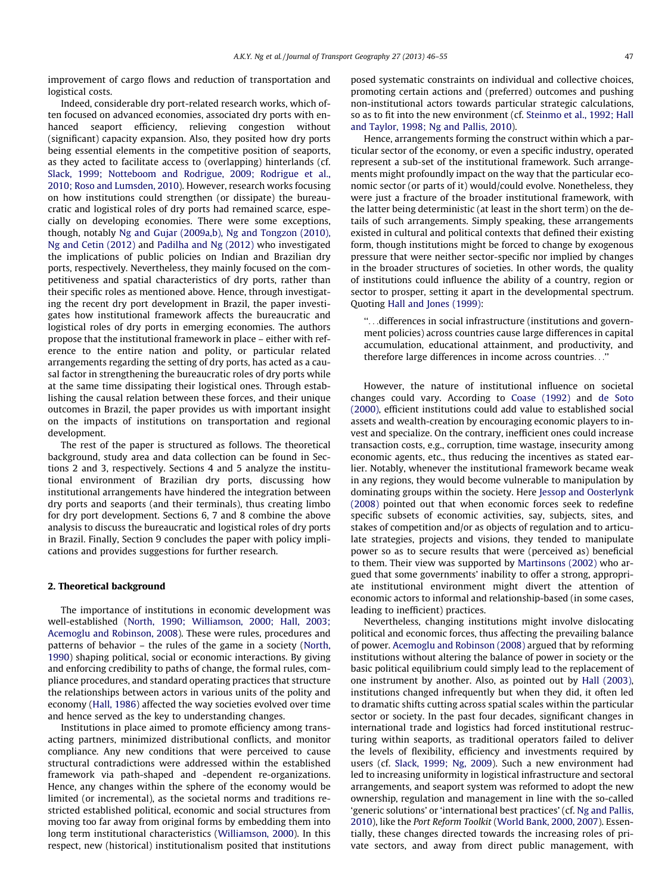improvement of cargo flows and reduction of transportation and logistical costs.

Indeed, considerable dry port-related research works, which often focused on advanced economies, associated dry ports with enhanced seaport efficiency, relieving congestion without (significant) capacity expansion. Also, they posited how dry ports being essential elements in the competitive position of seaports, as they acted to facilitate access to (overlapping) hinterlands (cf. [Slack, 1999; Notteboom and Rodrigue, 2009; Rodrigue et al.,](#page--1-0) [2010; Roso and Lumsden, 2010\)](#page--1-0). However, research works focusing on how institutions could strengthen (or dissipate) the bureaucratic and logistical roles of dry ports had remained scarce, especially on developing economies. There were some exceptions, though, notably [Ng and Gujar \(2009a,b\), Ng and Tongzon \(2010\),](#page--1-0) [Ng and Cetin \(2012\)](#page--1-0) and [Padilha and Ng \(2012\)](#page--1-0) who investigated the implications of public policies on Indian and Brazilian dry ports, respectively. Nevertheless, they mainly focused on the competitiveness and spatial characteristics of dry ports, rather than their specific roles as mentioned above. Hence, through investigating the recent dry port development in Brazil, the paper investigates how institutional framework affects the bureaucratic and logistical roles of dry ports in emerging economies. The authors propose that the institutional framework in place – either with reference to the entire nation and polity, or particular related arrangements regarding the setting of dry ports, has acted as a causal factor in strengthening the bureaucratic roles of dry ports while at the same time dissipating their logistical ones. Through establishing the causal relation between these forces, and their unique outcomes in Brazil, the paper provides us with important insight on the impacts of institutions on transportation and regional development.

The rest of the paper is structured as follows. The theoretical background, study area and data collection can be found in Sections 2 and 3, respectively. Sections 4 and 5 analyze the institutional environment of Brazilian dry ports, discussing how institutional arrangements have hindered the integration between dry ports and seaports (and their terminals), thus creating limbo for dry port development. Sections 6, 7 and 8 combine the above analysis to discuss the bureaucratic and logistical roles of dry ports in Brazil. Finally, Section 9 concludes the paper with policy implications and provides suggestions for further research.

#### 2. Theoretical background

The importance of institutions in economic development was well-established [\(North, 1990; Williamson, 2000; Hall, 2003;](#page--1-0) [Acemoglu and Robinson, 2008](#page--1-0)). These were rules, procedures and patterns of behavior – the rules of the game in a society ([North,](#page--1-0) [1990\)](#page--1-0) shaping political, social or economic interactions. By giving and enforcing credibility to paths of change, the formal rules, compliance procedures, and standard operating practices that structure the relationships between actors in various units of the polity and economy [\(Hall, 1986\)](#page--1-0) affected the way societies evolved over time and hence served as the key to understanding changes.

Institutions in place aimed to promote efficiency among transacting partners, minimized distributional conflicts, and monitor compliance. Any new conditions that were perceived to cause structural contradictions were addressed within the established framework via path-shaped and -dependent re-organizations. Hence, any changes within the sphere of the economy would be limited (or incremental), as the societal norms and traditions restricted established political, economic and social structures from moving too far away from original forms by embedding them into long term institutional characteristics ([Williamson, 2000\)](#page--1-0). In this respect, new (historical) institutionalism posited that institutions posed systematic constraints on individual and collective choices, promoting certain actions and (preferred) outcomes and pushing non-institutional actors towards particular strategic calculations, so as to fit into the new environment (cf. [Steinmo et al., 1992; Hall](#page--1-0) [and Taylor, 1998; Ng and Pallis, 2010](#page--1-0)).

Hence, arrangements forming the construct within which a particular sector of the economy, or even a specific industry, operated represent a sub-set of the institutional framework. Such arrangements might profoundly impact on the way that the particular economic sector (or parts of it) would/could evolve. Nonetheless, they were just a fracture of the broader institutional framework, with the latter being deterministic (at least in the short term) on the details of such arrangements. Simply speaking, these arrangements existed in cultural and political contexts that defined their existing form, though institutions might be forced to change by exogenous pressure that were neither sector-specific nor implied by changes in the broader structures of societies. In other words, the quality of institutions could influence the ability of a country, region or sector to prosper, setting it apart in the developmental spectrum. Quoting [Hall and Jones \(1999\):](#page--1-0)

''...differences in social infrastructure (institutions and government policies) across countries cause large differences in capital accumulation, educational attainment, and productivity, and therefore large differences in income across countries...''

However, the nature of institutional influence on societal changes could vary. According to [Coase \(1992\)](#page--1-0) and [de Soto](#page--1-0) [\(2000\)](#page--1-0), efficient institutions could add value to established social assets and wealth-creation by encouraging economic players to invest and specialize. On the contrary, inefficient ones could increase transaction costs, e.g., corruption, time wastage, insecurity among economic agents, etc., thus reducing the incentives as stated earlier. Notably, whenever the institutional framework became weak in any regions, they would become vulnerable to manipulation by dominating groups within the society. Here [Jessop and Oosterlynk](#page--1-0) [\(2008\)](#page--1-0) pointed out that when economic forces seek to redefine specific subsets of economic activities, say, subjects, sites, and stakes of competition and/or as objects of regulation and to articulate strategies, projects and visions, they tended to manipulate power so as to secure results that were (perceived as) beneficial to them. Their view was supported by [Martinsons \(2002\)](#page--1-0) who argued that some governments' inability to offer a strong, appropriate institutional environment might divert the attention of economic actors to informal and relationship-based (in some cases, leading to inefficient) practices.

Nevertheless, changing institutions might involve dislocating political and economic forces, thus affecting the prevailing balance of power. [Acemoglu and Robinson \(2008\)](#page--1-0) argued that by reforming institutions without altering the balance of power in society or the basic political equilibrium could simply lead to the replacement of one instrument by another. Also, as pointed out by [Hall \(2003\),](#page--1-0) institutions changed infrequently but when they did, it often led to dramatic shifts cutting across spatial scales within the particular sector or society. In the past four decades, significant changes in international trade and logistics had forced institutional restructuring within seaports, as traditional operators failed to deliver the levels of flexibility, efficiency and investments required by users (cf. [Slack, 1999; Ng, 2009\)](#page--1-0). Such a new environment had led to increasing uniformity in logistical infrastructure and sectoral arrangements, and seaport system was reformed to adopt the new ownership, regulation and management in line with the so-called 'generic solutions' or 'international best practices' (cf. [Ng and Pallis,](#page--1-0) [2010](#page--1-0)), like the Port Reform Toolkit [\(World Bank, 2000, 2007](#page--1-0)). Essentially, these changes directed towards the increasing roles of private sectors, and away from direct public management, with